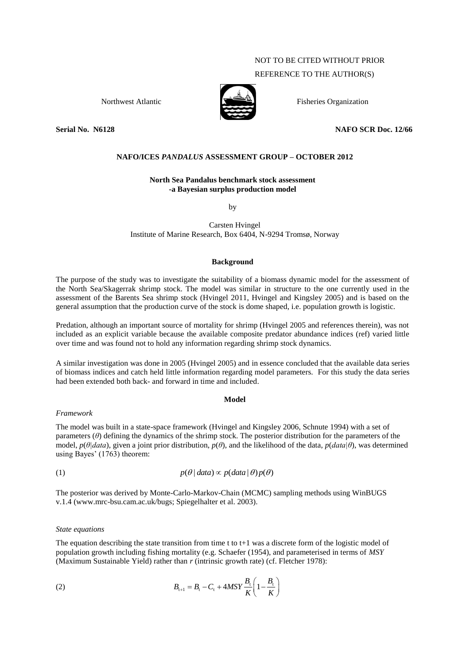# NOT TO BE CITED WITHOUT PRIOR

# REFERENCE TO THE AUTHOR(S)



Northwest Atlantic  $\sum_{n=1}^{\infty}$  Fisheries Organization

**Serial No. N6128 NAFO SCR Doc. 12/66**

# **NAFO/ICES** *PANDALUS* **ASSESSMENT GROUP – OCTOBER 2012**

# **North Sea Pandalus benchmark stock assessment -a Bayesian surplus production model**

by

Carsten Hvingel Institute of Marine Research, Box 6404, N-9294 Tromsø, Norway

## **Background**

The purpose of the study was to investigate the suitability of a biomass dynamic model for the assessment of the North Sea/Skagerrak shrimp stock. The model was similar in structure to the one currently used in the assessment of the Barents Sea shrimp stock (Hvingel 2011, Hvingel and Kingsley 2005) and is based on the general assumption that the production curve of the stock is dome shaped, i.e. population growth is logistic.

Predation, although an important source of mortality for shrimp (Hvingel 2005 and references therein), was not included as an explicit variable because the available composite predator abundance indices (ref) varied little over time and was found not to hold any information regarding shrimp stock dynamics.

A similar investigation was done in 2005 (Hvingel 2005) and in essence concluded that the available data series of biomass indices and catch held little information regarding model parameters. For this study the data series had been extended both back- and forward in time and included.

#### **Model**

## *Framework*

The model was built in a state-space framework (Hvingel and Kingsley 2006, Schnute 1994) with a set of parameters (*θ*) defining the dynamics of the shrimp stock. The posterior distribution for the parameters of the model, *p*(*θ|data*), given a joint prior distribution, *p*(*θ*), and the likelihood of the data, *p*(*data|θ*), was determined using Bayes' (1763) theorem:

(1) 
$$
p(\theta | data) \propto p(data | \theta) p(\theta)
$$

The posterior was derived by Monte-Carlo-Markov-Chain (MCMC) sampling methods using WinBUGS v.1.4 (www.mrc-bsu.cam.ac.uk/bugs; Spiegelhalter et al. 2003).

## *State equations*

The equation describing the state transition from time t to  $t+1$  was a discrete form of the logistic model of population growth including fishing mortality (e.g. Schaefer (1954), and parameterised in terms of *MSY* (Maximum Sustainable Yield) rather than *r* (intrinsic growth rate) (cf. Fletcher 1978):

(2) 
$$
B_{t+1} = B_t - C_t + 4MSY \frac{B_t}{K} \left( 1 - \frac{B_t}{K} \right)
$$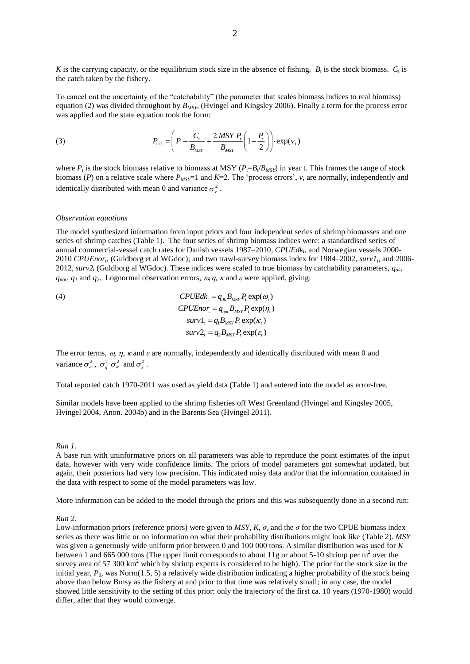K is the carrying capacity, or the equilibrium stock size in the absence of fishing.  $B_t$  is the stock biomass.  $C_t$  is the catch taken by the fishery.

To cancel out the uncertainty of the "catchability" (the parameter that scales biomass indices to real biomass) equation (2) was divided throughout by *BMSY*, (Hvingel and Kingsley 2006). Finally a term for the process error was applied and the state equation took the form:

(3) 
$$
P_{t+1} = \left(P_t - \frac{C_t}{B_{MSY}} + \frac{2 \, MSY \, P_t}{B_{MSY}} \left(1 - \frac{P_t}{2}\right)\right) \cdot \exp(v_t)
$$

where  $P_t$  is the stock biomass relative to biomass at MSY ( $P_t = B_t/B_{MSY}$ ) in year t. This frames the range of stock biomass (*P*) on a relative scale where  $P_{MST}$ =1 and *K*=2. The 'process errors', *v*, are normally, independently and identically distributed with mean 0 and variance  $\sigma_{\nu}^2$ .

#### *Observation equations*

The model synthesized information from input priors and four independent series of shrimp biomasses and one series of shrimp catches (Table 1). The four series of shrimp biomass indices were: a standardised series of annual commercial-vessel catch rates for Danish vessels 1987-2010, CPUEdk<sub>t</sub>, and Norwegian vessels 2000-2010 *CPUEnor*<sup>t</sup> , (Guldborg et al WGdoc); and two trawl-survey biomass index for 1984–2002, *surv1*<sup>t</sup> , and 2006- 2012, *surv2*<sup>t</sup> (Guldborg al WGdoc). These indices were scaled to true biomass by catchability parameters, *qdk*,  $q_{nor}$ ,  $q_1$  and  $q_2$ . Lognormal observation errors,  $\omega$ ,  $\eta$ ,  $\kappa$  and  $\varepsilon$  were applied, giving:

(4)  $\mathcal{CP} U E d k_{\text{t}} = q_{\text{dk}} B_{\text{MSY}} P_{\text{t}} \exp(\omega_{\text{t}})$  $CPUEnor_{t} = q_{nor}B_{MSY}P_{t} \exp(\eta_{t})$  $surv1<sub>i</sub> = q<sub>i</sub>B<sub>MSY</sub>P<sub>i</sub> exp(\kappa<sub>i</sub>)$  $surv2$ <sub>r</sub> =  $q_2B_{\text{MSY}}P_r \exp(\varepsilon_r)$ 

The error terms,  $\omega$ ,  $\eta$ ,  $\kappa$  and  $\varepsilon$  are normally, independently and identically distributed with mean 0 and variance  $\sigma_{\omega}^2$ ,  $\sigma_{\eta}^2 \sigma_{\kappa}^2$  and  $\sigma_{\varepsilon}^2$ .

Total reported catch 1970-2011 was used as yield data (Table 1) and entered into the model as error-free.

Similar models have been applied to the shrimp fisheries off West Greenland (Hvingel and Kingsley 2005, Hvingel 2004, Anon. 2004b) and in the Barents Sea (Hvingel 2011).

#### *Run 1.*

A base run with uninformative priors on all parameters was able to reproduce the point estimates of the input data, however with very wide confidence limits. The priors of model parameters got somewhat updated, but again, their posteriors had very low precision. This indicated noisy data and/or that the information contained in the data with respect to some of the model parameters was low.

More information can be added to the model through the priors and this was subsequently done in a second run:

## *Run 2.*

Low-information priors (reference priors) were given to *MSY*,  $K$ ,  $\sigma_v$  and the  $\sigma$  for the two CPUE biomass index series as there was little or no information on what their probability distributions might look like (Table 2). *MSY* was given a generously wide uniform prior between 0 and 100 000 tons. A similar distribution was used for *K* between 1 and 665 000 tons (The upper limit corresponds to about 11g or about 5-10 shrimp per  $m<sup>2</sup>$  over the survey area of 57 300  $km<sup>2</sup>$  which by shrimp experts is considered to be high). The prior for the stock size in the initial year, *P0*, was Norm(1.5, 5) a relatively wide distribution indicating a higher probability of the stock being above than below Bmsy as the fishery at and prior to that time was relatively small; in any case, the model showed little sensitivity to the setting of this prior: only the trajectory of the first ca. 10 years (1970-1980) would differ, after that they would converge.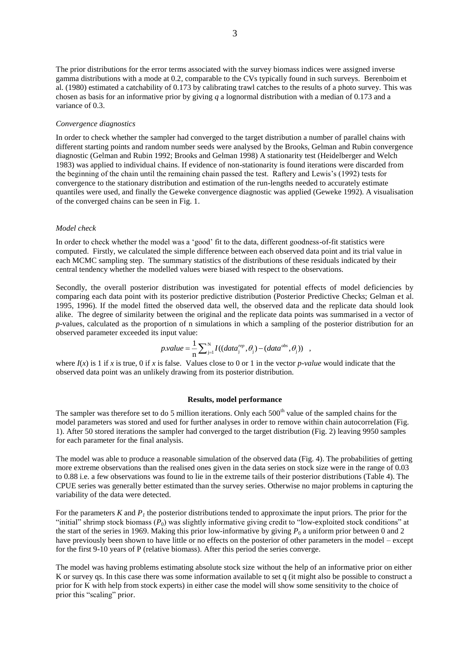The prior distributions for the error terms associated with the survey biomass indices were assigned inverse gamma distributions with a mode at 0.2, comparable to the CVs typically found in such surveys. Berenboim et al. (1980) estimated a catchability of 0.173 by calibrating trawl catches to the results of a photo survey. This was chosen as basis for an informative prior by giving *q* a lognormal distribution with a median of 0.173 and a variance of 0.3.

### *Convergence diagnostics*

In order to check whether the sampler had converged to the target distribution a number of parallel chains with different starting points and random number seeds were analysed by the Brooks, Gelman and Rubin convergence diagnostic (Gelman and Rubin 1992; Brooks and Gelman 1998) A stationarity test (Heidelberger and Welch 1983) was applied to individual chains. If evidence of non-stationarity is found iterations were discarded from the beginning of the chain until the remaining chain passed the test. Raftery and Lewis's (1992) tests for convergence to the stationary distribution and estimation of the run-lengths needed to accurately estimate quantiles were used, and finally the Geweke convergence diagnostic was applied (Geweke 1992). A visualisation of the converged chains can be seen in Fig. 1.

# *Model check*

In order to check whether the model was a 'good' fit to the data, different goodness-of-fit statistics were computed. Firstly, we calculated the simple difference between each observed data point and its trial value in each MCMC sampling step. The summary statistics of the distributions of these residuals indicated by their central tendency whether the modelled values were biased with respect to the observations.

Secondly, the overall posterior distribution was investigated for potential effects of model deficiencies by comparing each data point with its posterior predictive distribution (Posterior Predictive Checks; Gelman et al. 1995, 1996). If the model fitted the observed data well, the observed data and the replicate data should look alike. The degree of similarity between the original and the replicate data points was summarised in a vector of *p*-values, calculated as the proportion of n simulations in which a sampling of the posterior distribution for an observed parameter exceeded its input value:

$$
p.value = \frac{1}{n} \sum_{j=1}^{N} I((data_j^{rep}, \theta_j) - (data^{obs}, \theta_j)) ,
$$

where  $I(x)$  is 1 if *x* is true, 0 if *x* is false. Values close to 0 or 1 in the vector *p-value* would indicate that the observed data point was an unlikely drawing from its posterior distribution.

## **Results, model performance**

The sampler was therefore set to do 5 million iterations. Only each  $500<sup>th</sup>$  value of the sampled chains for the model parameters was stored and used for further analyses in order to remove within chain autocorrelation (Fig. 1). After 50 stored iterations the sampler had converged to the target distribution (Fig. 2) leaving 9950 samples for each parameter for the final analysis.

The model was able to produce a reasonable simulation of the observed data (Fig. 4). The probabilities of getting more extreme observations than the realised ones given in the data series on stock size were in the range of 0.03 to 0.88 i.e. a few observations was found to lie in the extreme tails of their posterior distributions (Table 4). The CPUE series was generally better estimated than the survey series. Otherwise no major problems in capturing the variability of the data were detected.

For the parameters *K* and *P<sup>1</sup>* the posterior distributions tended to approximate the input priors. The prior for the "initial" shrimp stock biomass  $(P_0)$  was slightly informative giving credit to "low-exploited stock conditions" at the start of the series in 1969. Making this prior low-informative by giving  $P_0$  a uniform prior between 0 and 2 have previously been shown to have little or no effects on the posterior of other parameters in the model – except for the first 9-10 years of P (relative biomass). After this period the series converge.

The model was having problems estimating absolute stock size without the help of an informative prior on either K or survey qs. In this case there was some information available to set q (it might also be possible to construct a prior for K with help from stock experts) in either case the model will show some sensitivity to the choice of prior this "scaling" prior.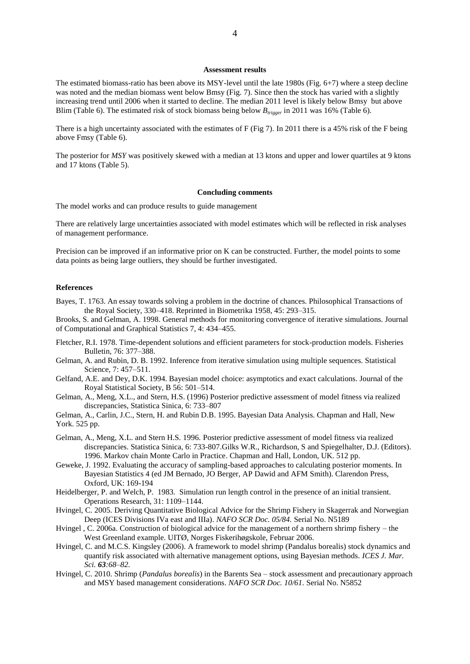### **Assessment results**

The estimated biomass-ratio has been above its MSY-level until the late 1980s (Fig. 6+7) where a steep decline was noted and the median biomass went below Bmsy (Fig. 7). Since then the stock has varied with a slightly increasing trend until 2006 when it started to decline. The median 2011 level is likely below Bmsy but above Blim (Table 6). The estimated risk of stock biomass being below  $B_{trigger}$  in 2011 was 16% (Table 6).

There is a high uncertainty associated with the estimates of F (Fig 7). In 2011 there is a 45% risk of the F being above Fmsy (Table 6).

The posterior for *MSY* was positively skewed with a median at 13 ktons and upper and lower quartiles at 9 ktons and 17 ktons (Table 5).

### **Concluding comments**

The model works and can produce results to guide management

There are relatively large uncertainties associated with model estimates which will be reflected in risk analyses of management performance.

Precision can be improved if an informative prior on K can be constructed. Further, the model points to some data points as being large outliers, they should be further investigated.

### **References**

Bayes, T. 1763. An essay towards solving a problem in the doctrine of chances. Philosophical Transactions of the Royal Society, 330–418. Reprinted in Biometrika 1958, 45: 293–315.

Brooks, S. and Gelman, A. 1998. General methods for monitoring convergence of iterative simulations. Journal of Computational and Graphical Statistics 7, 4: 434–455.

- Fletcher, R.I. 1978. Time-dependent solutions and efficient parameters for stock-production models. Fisheries Bulletin, 76: 377–388.
- Gelman, A. and Rubin, D. B. 1992. Inference from iterative simulation using multiple sequences. Statistical Science, 7: 457–511.
- Gelfand, A.E. and Dey, D.K. 1994. Bayesian model choice: asymptotics and exact calculations. Journal of the Royal Statistical Society, B 56: 501–514.
- Gelman, A., Meng, X.L., and Stern, H.S. (1996) Posterior predictive assessment of model fitness via realized discrepancies, Statistica Sinica, 6: 733–807
- Gelman, A., Carlin, J.C., Stern, H. and Rubin D.B. 1995. Bayesian Data Analysis. Chapman and Hall, New York. 525 pp.
- Gelman, A., Meng, X.L. and Stern H.S. 1996. Posterior predictive assessment of model fitness via realized discrepancies. Statistica Sinica, 6: 733-807.Gilks W.R., Richardson, S and Spiegelhalter, D.J. (Editors). 1996. Markov chain Monte Carlo in Practice. Chapman and Hall, London, UK. 512 pp.
- Geweke, J. 1992. Evaluating the accuracy of sampling-based approaches to calculating posterior moments. In Bayesian Statistics 4 (ed JM Bernado, JO Berger, AP Dawid and AFM Smith). Clarendon Press, Oxford, UK: 169-194
- Heidelberger, P. and Welch, P. 1983. Simulation run length control in the presence of an initial transient. Operations Research, 31: 1109–1144.
- Hvingel, C. 2005. Deriving Quantitative Biological Advice for the Shrimp Fishery in Skagerrak and Norwegian Deep (ICES Divisions IVa east and IIIa). *NAFO SCR Doc. 05/84.* Serial No. N5189
- Hvingel , C. 2006a. Construction of biological advice for the management of a northern shrimp fishery the West Greenland example. UITØ, Norges Fiskerihøgskole, Februar 2006.
- Hvingel, C. and M.C.S. Kingsley (2006). A framework to model shrimp (Pandalus borealis) stock dynamics and quantify risk associated with alternative management options, using Bayesian methods. *ICES J. Mar. Sci. 63:68–82.*
- Hvingel, C. 2010. Shrimp (*Pandalus borealis*) in the Barents Sea stock assessment and precautionary approach and MSY based management considerations. *NAFO SCR Doc. 10/61.* Serial No. N5852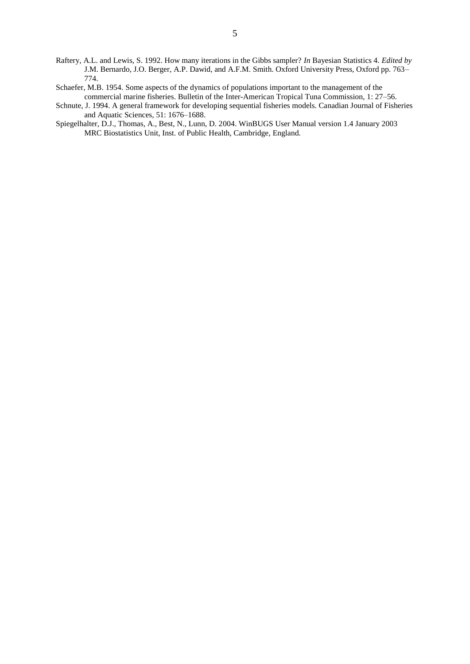- Raftery, A.L. and Lewis, S. 1992. How many iterations in the Gibbs sampler? *In* Bayesian Statistics 4. *Edited by* J.M. Bernardo, J.O. Berger, A.P. Dawid, and A.F.M. Smith. Oxford University Press, Oxford pp. 763– 774.
- Schaefer, M.B. 1954. Some aspects of the dynamics of populations important to the management of the commercial marine fisheries. Bulletin of the Inter-American Tropical Tuna Commission, 1: 27–56.
- Schnute, J. 1994. A general framework for developing sequential fisheries models. Canadian Journal of Fisheries and Aquatic Sciences, 51: 1676–1688.
- Spiegelhalter, D.J., Thomas, A., Best, N., Lunn, D. 2004. WinBUGS User Manual version 1.4 January 2003 MRC Biostatistics Unit, Inst. of Public Health, Cambridge, England.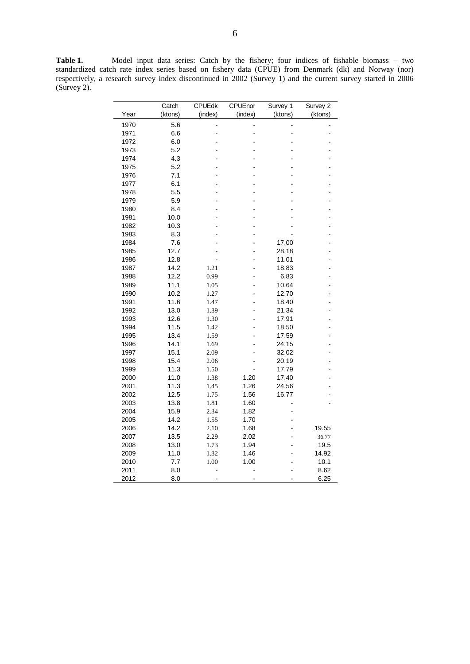**Table 1.** Model input data series: Catch by the fishery; four indices of fishable biomass – two standardized catch rate index series based on fishery data (CPUE) from Denmark (dk) and Norway (nor) respectively, a research survey index discontinued in 2002 (Survey 1) and the current survey started in 2006 (Survey 2).

|              | Catch        | CPUEdk       | CPUEnor      | Survey 1                       | Survey 2      |
|--------------|--------------|--------------|--------------|--------------------------------|---------------|
| Year         | (ktons)      | (index)      | (index)      | (ktons)                        | (ktons)       |
| 1970         | 5.6          |              |              |                                |               |
| 1971         | 6.6          | Ĭ.           | ä,           | L,                             |               |
| 1972         | 6.0          |              |              |                                |               |
| 1973         | 5.2          |              |              |                                |               |
| 1974         | 4.3          |              |              |                                |               |
| 1975         | 5.2          |              |              | $\overline{a}$                 |               |
| 1976         | 7.1          |              |              |                                |               |
| 1977         | 6.1          |              |              |                                |               |
| 1978         | 5.5          |              |              |                                |               |
| 1979         | 5.9          |              |              |                                |               |
| 1980         | 8.4          |              |              |                                |               |
| 1981         | 10.0         |              |              |                                |               |
| 1982         | 10.3         |              |              |                                |               |
| 1983         | 8.3          |              |              |                                |               |
| 1984         | 7.6          |              |              | 17.00                          |               |
| 1985         | 12.7         |              |              | 28.18                          |               |
| 1986         | 12.8         |              |              | 11.01                          |               |
| 1987         | 14.2         | 1.21         |              | 18.83                          |               |
| 1988         | 12.2         | 0.99         |              | 6.83                           |               |
| 1989         | 11.1         | 1.05         |              | 10.64                          |               |
| 1990         | 10.2         | 1.27         | ä,           | 12.70                          |               |
| 1991         | 11.6         | 1.47         |              | 18.40                          |               |
| 1992         | 13.0         | 1.39         | ä,           | 21.34                          | L.            |
| 1993         | 12.6         | 1.30         |              | 17.91                          |               |
| 1994         | 11.5         | 1.42         |              | 18.50                          |               |
| 1995         | 13.4         | 1.59         |              | 17.59                          |               |
| 1996         | 14.1         | 1.69         |              | 24.15                          |               |
| 1997         | 15.1         | 2.09         |              | 32.02                          |               |
| 1998         | 15.4         | 2.06         |              | 20.19                          |               |
| 1999         | 11.3         | 1.50         |              | 17.79                          |               |
| 2000         | 11.0         | 1.38         | 1.20         | 17.40                          |               |
| 2001         | 11.3         | 1.45         | 1.26         | 24.56                          |               |
| 2002         | 12.5         | 1.75         | 1.56         | 16.77                          |               |
| 2003         | 13.8         | 1.81         | 1.60         |                                |               |
| 2004         | 15.9         | 2.34         | 1.82         | $\overline{a}$                 |               |
| 2005         | 14.2<br>14.2 | 1.55         | 1.70<br>1.68 |                                | 19.55         |
| 2006<br>2007 | 13.5         | 2.10         | 2.02         | $\overline{\phantom{0}}$<br>L, |               |
| 2008         | 13.0         | 2.29<br>1.73 | 1.94         |                                | 36.77<br>19.5 |
| 2009         | 11.0         | 1.32         | 1.46         | $\overline{a}$                 | 14.92         |
| 2010         | 7.7          | 1.00         | 1.00         |                                | 10.1          |
| 2011         | 8.0          |              |              |                                | 8.62          |
| 2012         | 8.0          |              |              |                                | 6.25          |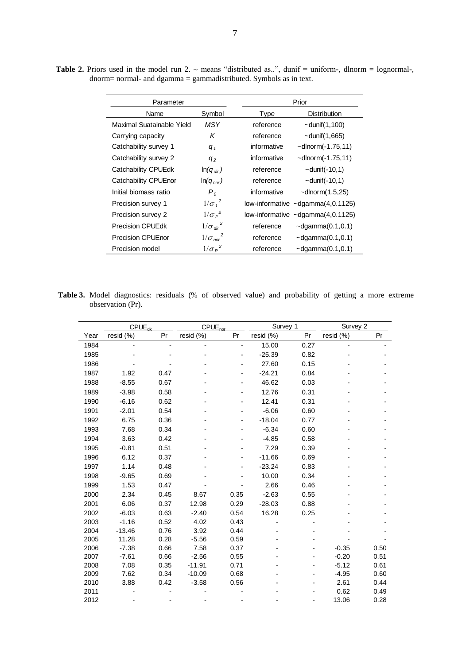| Parameter                 |                         | Prior                                      |  |  |
|---------------------------|-------------------------|--------------------------------------------|--|--|
| Name                      | Symbol                  | <b>Distribution</b><br>Type                |  |  |
| Maximal Suatainable Yield | MSY                     | reference<br>$\sim$ dunif $(1,100)$        |  |  |
| Carrying capacity         | K                       | $\sim$ dunif $(1,665)$<br>reference        |  |  |
| Catchability survey 1     | $q_{1}$                 | informative<br>$\sim$ dlnorm $(-1.75, 11)$ |  |  |
| Catchability survey 2     | $q_{2}$                 | informative<br>$\sim$ dlnorm $(-1.75, 11)$ |  |  |
| Catchability CPUEdk       | $ln(q_{dk})$            | reference<br>$\sim$ dunif(-10,1)           |  |  |
| Catchability CPUEnor      | $ln(q_{nor})$           | $\sim$ dunif(-10,1)<br>reference           |  |  |
| Initial biomass ratio     | P <sub>o</sub>          | informative<br>$\sim$ dlnorm $(1.5,25)$    |  |  |
| Precision survey 1        | $1/\sigma_1^2$          | low-informative $\sim$ dgamma $(4,0.1125)$ |  |  |
| Precision survey 2        | $1/\sigma_2^2$          | low-informative $\sim$ dgamma $(4,0.1125)$ |  |  |
| <b>Precision CPUEdk</b>   | $1/\sigma_{dk}^2$       | reference<br>$\sim$ dgamma $(0.1, 0.1)$    |  |  |
| <b>Precision CPUEnor</b>  | $1/\sigma_{\text{nor}}$ | $\sim$ dgamma $(0.1, 0.1)$<br>reference    |  |  |
| Precision model           | $1/\sigma_P^2$          | $\sim$ dgamma $(0.1, 0.1)$<br>reference    |  |  |

**Table 2.** Priors used in the model run 2.  $\sim$  means "distributed as..", dunif = uniform-, dlnorm = lognormal-, dnorm= normal- and dgamma = gammadistributed. Symbols as in text.

**Table 3.** Model diagnostics: residuals (% of observed value) and probability of getting a more extreme observation (Pr).

| resid (%)<br>Pr               |
|-------------------------------|
|                               |
|                               |
|                               |
|                               |
|                               |
|                               |
|                               |
|                               |
|                               |
|                               |
|                               |
|                               |
|                               |
|                               |
|                               |
|                               |
|                               |
|                               |
|                               |
|                               |
|                               |
|                               |
|                               |
| $-0.35$<br>0.50               |
| $-0.20$<br>0.51               |
| $-5.12$<br>0.61               |
| $-4.95$<br>0.60               |
| 2.61<br>0.44                  |
| 0.62<br>0.49<br>13.06<br>0.28 |
|                               |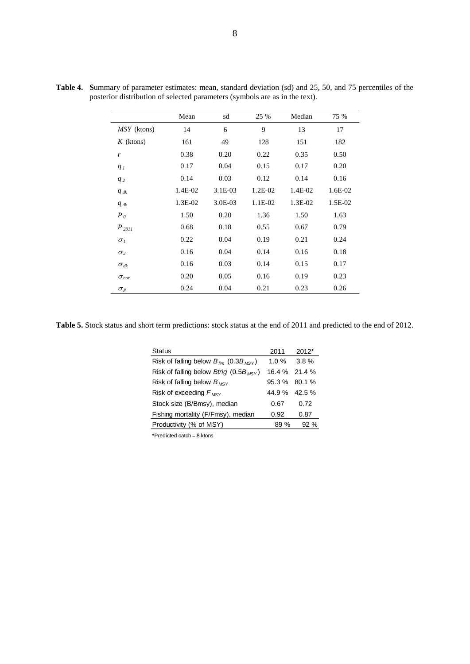|                         | Mean    | sd      | 25 %    | Median  | 75 %    |
|-------------------------|---------|---------|---------|---------|---------|
| MSY (ktons)             | 14      | 6       | 9       | 13      | 17      |
| $K$ (ktons)             | 161     | 49      | 128     | 151     | 182     |
| $\boldsymbol{r}$        | 0.38    | 0.20    | 0.22    | 0.35    | 0.50    |
| q <sub>I</sub>          | 0.17    | 0.04    | 0.15    | 0.17    | 0.20    |
| $q_2$                   | 0.14    | 0.03    | 0.12    | 0.14    | 0.16    |
| $q_{dk}$                | 1.4E-02 | 3.1E-03 | 1.2E-02 | 1.4E-02 | 1.6E-02 |
| $q_{dk}$                | 1.3E-02 | 3.0E-03 | 1.1E-02 | 1.3E-02 | 1.5E-02 |
| $P_0$                   | 1.50    | 0.20    | 1.36    | 1.50    | 1.63    |
| $P_{2011}$              | 0.68    | 0.18    | 0.55    | 0.67    | 0.79    |
| $\sigma$ <sub>1</sub>   | 0.22    | 0.04    | 0.19    | 0.21    | 0.24    |
| $\sigma_2$              | 0.16    | 0.04    | 0.14    | 0.16    | 0.18    |
| $\sigma_{dk}$           | 0.16    | 0.03    | 0.14    | 0.15    | 0.17    |
| $\sigma_{\textit{nor}}$ | 0.20    | 0.05    | 0.16    | 0.19    | 0.23    |
| $\sigma_P$              | 0.24    | 0.04    | 0.21    | 0.23    | 0.26    |

**Table 4. S**ummary of parameter estimates: mean, standard deviation (sd) and 25, 50, and 75 percentiles of the posterior distribution of selected parameters (symbols are as in the text).

**Table 5.** Stock status and short term predictions: stock status at the end of 2011 and predicted to the end of 2012.

| Status                                           | 2011            | 2012* |
|--------------------------------------------------|-----------------|-------|
| Risk of falling below $B_{lim}$ (0.3 $B_{MSY}$ ) | 1.0 $%$         | 3.8%  |
| Risk of falling below Btrig (0.5 $B_{MSY}$ )     | $16.4\%$ 21.4 % |       |
| Risk of falling below $B_{MSV}$                  | 95.3 % 80.1 %   |       |
| Risk of exceeding $F_{MSV}$                      | 44.9 % 42.5 %   |       |
| Stock size (B/Bmsy), median                      | 0.67            | 0.72  |
| Fishing mortality (F/Fmsy), median               | 0.92            | 0.87  |
| Productivity (% of MSY)                          | 89%             | 92%   |
| $*$ Decade to the state of the state of $\sim$   |                 |       |

\*Predicted catch = 8 ktons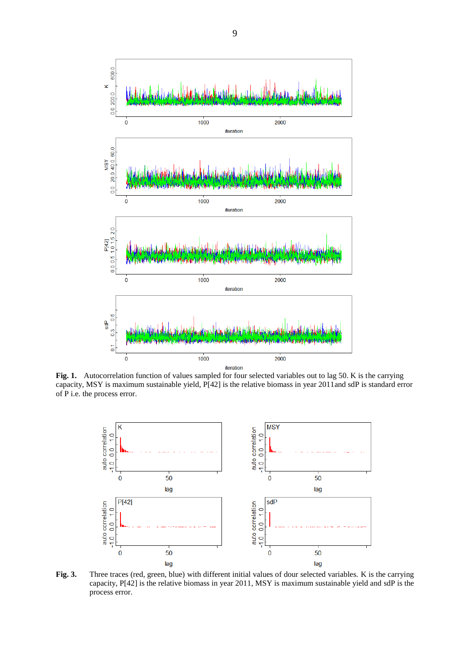

Fig. 1. Autocorrelation function of values sampled for four selected variables out to lag 50. K is the carrying capacity, MSY is maximum sustainable yield, P[42] is the relative biomass in year 2011and sdP is standard error of P i.e. the process error.



**Fig. 3.** Three traces (red, green, blue) with different initial values of dour selected variables. K is the carrying capacity, P[42] is the relative biomass in year 2011, MSY is maximum sustainable yield and sdP is the process error.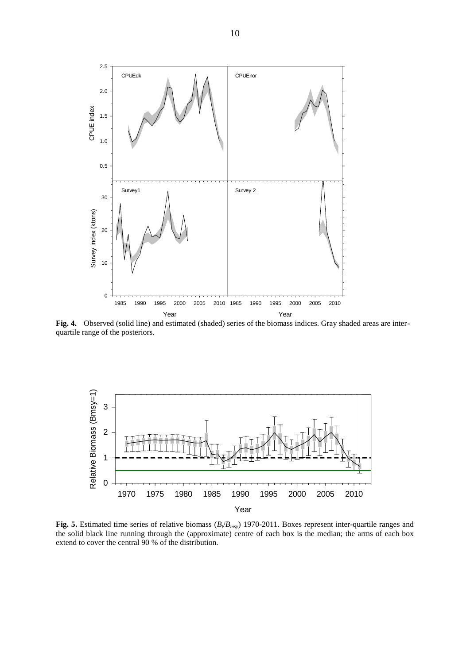

**Fig. 4.** Observed (solid line) and estimated (shaded) series of the biomass indices. Gray shaded areas are interquartile range of the posteriors.



**Fig. 5.** Estimated time series of relative biomass (*B<sup>t</sup>* /*Bmsy*) 1970-2011. Boxes represent inter-quartile ranges and the solid black line running through the (approximate) centre of each box is the median; the arms of each box extend to cover the central 90 % of the distribution.